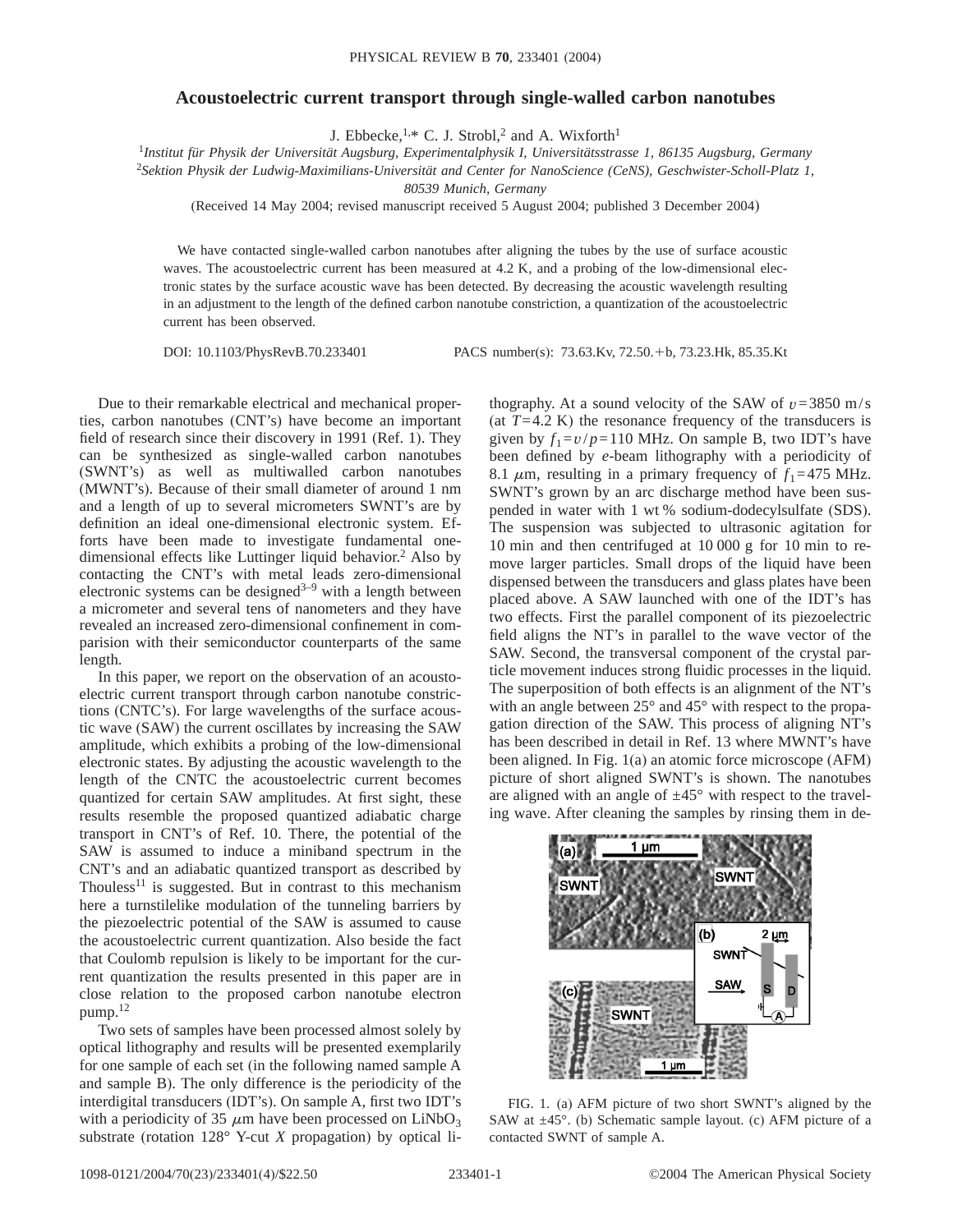## **Acoustoelectric current transport through single-walled carbon nanotubes**

J. Ebbecke,<sup>1,\*</sup> C. J. Strobl,<sup>2</sup> and A. Wixforth<sup>1</sup>

<sup>1</sup>*Institut für Physik der Universität Augsburg, Experimentalphysik I, Universitätsstrasse 1, 86135 Augsburg, Germany*

2 *Sektion Physik der Ludwig-Maximilians-Universität and Center for NanoScience (CeNS), Geschwister-Scholl-Platz 1,*

*80539 Munich, Germany*

(Received 14 May 2004; revised manuscript received 5 August 2004; published 3 December 2004)

We have contacted single-walled carbon nanotubes after aligning the tubes by the use of surface acoustic waves. The acoustoelectric current has been measured at 4.2 K, and a probing of the low-dimensional electronic states by the surface acoustic wave has been detected. By decreasing the acoustic wavelength resulting in an adjustment to the length of the defined carbon nanotube constriction, a quantization of the acoustoelectric current has been observed.

DOI: 10.1103/PhysRevB.70.233401 PACS number(s): 73.63.Kv, 72.50.1b, 73.23.Hk, 85.35.Kt

Due to their remarkable electrical and mechanical properties, carbon nanotubes (CNT's) have become an important field of research since their discovery in 1991 (Ref. 1). They can be synthesized as single-walled carbon nanotubes (SWNT's) as well as multiwalled carbon nanotubes (MWNT's). Because of their small diameter of around 1 nm and a length of up to several micrometers SWNT's are by definition an ideal one-dimensional electronic system. Efforts have been made to investigate fundamental onedimensional effects like Luttinger liquid behavior.<sup>2</sup> Also by contacting the CNT's with metal leads zero-dimensional electronic systems can be designed $3-9$  with a length between a micrometer and several tens of nanometers and they have revealed an increased zero-dimensional confinement in comparision with their semiconductor counterparts of the same length.

In this paper, we report on the observation of an acoustoelectric current transport through carbon nanotube constrictions (CNTC's). For large wavelengths of the surface acoustic wave (SAW) the current oscillates by increasing the SAW amplitude, which exhibits a probing of the low-dimensional electronic states. By adjusting the acoustic wavelength to the length of the CNTC the acoustoelectric current becomes quantized for certain SAW amplitudes. At first sight, these results resemble the proposed quantized adiabatic charge transport in CNT's of Ref. 10. There, the potential of the SAW is assumed to induce a miniband spectrum in the CNT's and an adiabatic quantized transport as described by Thouless $11$  is suggested. But in contrast to this mechanism here a turnstilelike modulation of the tunneling barriers by the piezoelectric potential of the SAW is assumed to cause the acoustoelectric current quantization. Also beside the fact that Coulomb repulsion is likely to be important for the current quantization the results presented in this paper are in close relation to the proposed carbon nanotube electron pump.12

Two sets of samples have been processed almost solely by optical lithography and results will be presented exemplarily for one sample of each set (in the following named sample A and sample B). The only difference is the periodicity of the interdigital transducers (IDT's). On sample A, first two IDT's with a periodicity of 35  $\mu$ m have been processed on LiNbO<sub>3</sub> substrate (rotation 128° Y-cut *X* propagation) by optical lithography. At a sound velocity of the SAW of  $v=3850$  m/s (at  $T=4.2$  K) the resonance frequency of the transducers is given by  $f_1 = v/p = 110$  MHz. On sample B, two IDT's have been defined by *e*-beam lithography with a periodicity of 8.1  $\mu$ m, resulting in a primary frequency of  $f_1$ =475 MHz. SWNT's grown by an arc discharge method have been suspended in water with 1 wt % sodium-dodecylsulfate (SDS). The suspension was subjected to ultrasonic agitation for 10 min and then centrifuged at 10 000 g for 10 min to remove larger particles. Small drops of the liquid have been dispensed between the transducers and glass plates have been placed above. A SAW launched with one of the IDT's has two effects. First the parallel component of its piezoelectric field aligns the NT's in parallel to the wave vector of the SAW. Second, the transversal component of the crystal particle movement induces strong fluidic processes in the liquid. The superposition of both effects is an alignment of the NT's with an angle between  $25^{\circ}$  and  $45^{\circ}$  with respect to the propagation direction of the SAW. This process of aligning NT's has been described in detail in Ref. 13 where MWNT's have been aligned. In Fig. 1(a) an atomic force microscope (AFM) picture of short aligned SWNT's is shown. The nanotubes are aligned with an angle of  $\pm 45^{\circ}$  with respect to the traveling wave. After cleaning the samples by rinsing them in de-



FIG. 1. (a) AFM picture of two short SWNT's aligned by the SAW at  $\pm$ 45°. (b) Schematic sample layout. (c) AFM picture of a contacted SWNT of sample A.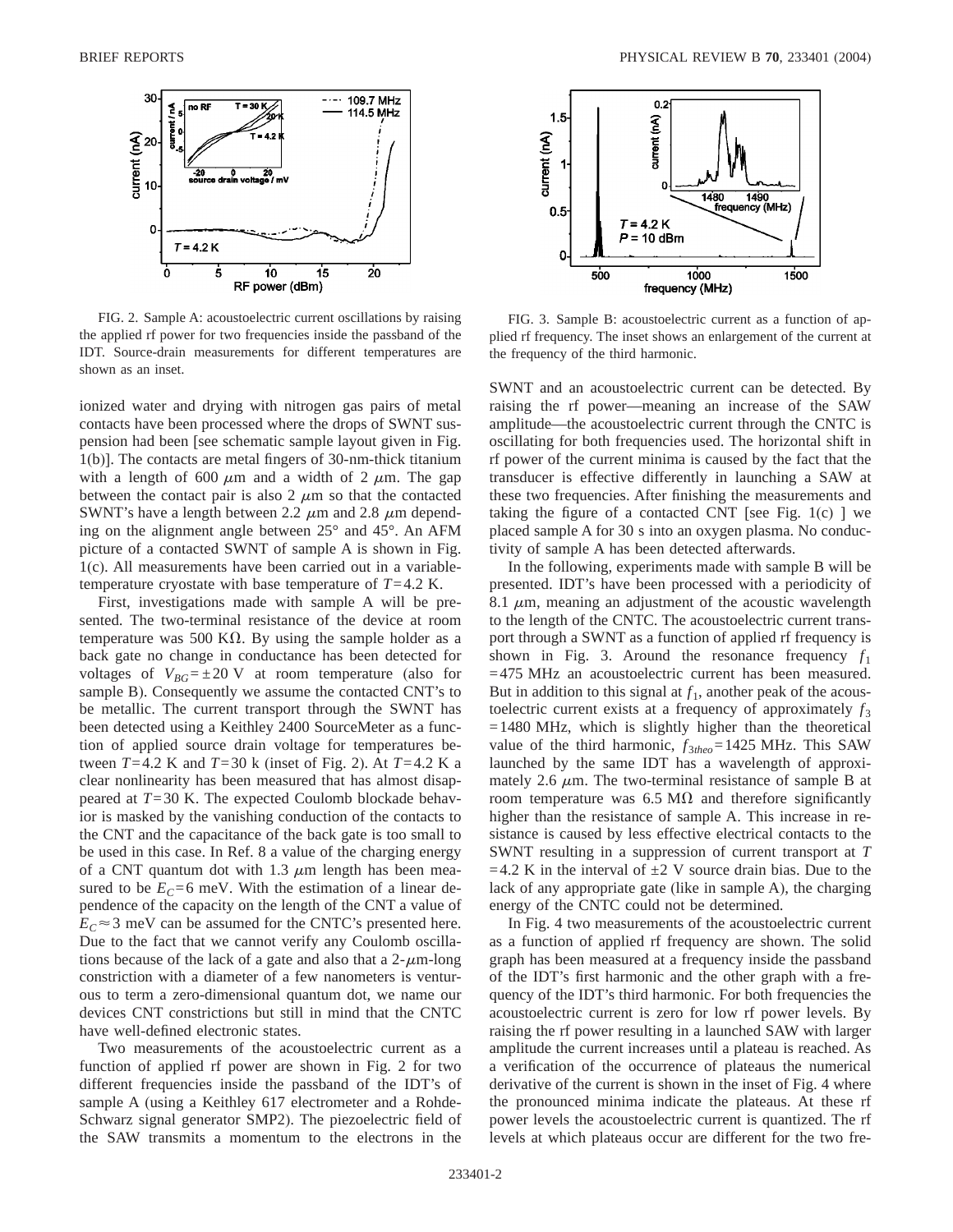

FIG. 2. Sample A: acoustoelectric current oscillations by raising the applied rf power for two frequencies inside the passband of the IDT. Source-drain measurements for different temperatures are shown as an inset.

ionized water and drying with nitrogen gas pairs of metal contacts have been processed where the drops of SWNT suspension had been [see schematic sample layout given in Fig. 1(b)]. The contacts are metal fingers of 30-nm-thick titanium with a length of 600  $\mu$ m and a width of 2  $\mu$ m. The gap between the contact pair is also 2  $\mu$ m so that the contacted SWNT's have a length between 2.2  $\mu$ m and 2.8  $\mu$ m depending on the alignment angle between 25° and 45°. An AFM picture of a contacted SWNT of sample A is shown in Fig. 1(c). All measurements have been carried out in a variabletemperature cryostate with base temperature of *T*=4.2 K.

First, investigations made with sample A will be presented. The two-terminal resistance of the device at room temperature was 500 K $\Omega$ . By using the sample holder as a back gate no change in conductance has been detected for voltages of  $V_{BG} = \pm 20$  V at room temperature (also for sample B). Consequently we assume the contacted CNT's to be metallic. The current transport through the SWNT has been detected using a Keithley 2400 SourceMeter as a function of applied source drain voltage for temperatures between *T*=4.2 K and *T*=30 k (inset of Fig. 2). At *T*=4.2 K a clear nonlinearity has been measured that has almost disappeared at *T*=30 K. The expected Coulomb blockade behavior is masked by the vanishing conduction of the contacts to the CNT and the capacitance of the back gate is too small to be used in this case. In Ref. 8 a value of the charging energy of a CNT quantum dot with 1.3  $\mu$ m length has been measured to be  $E_C = 6$  meV. With the estimation of a linear dependence of the capacity on the length of the CNT a value of  $E_C \approx 3$  meV can be assumed for the CNTC's presented here. Due to the fact that we cannot verify any Coulomb oscillations because of the lack of a gate and also that a  $2-\mu m$ -long constriction with a diameter of a few nanometers is venturous to term a zero-dimensional quantum dot, we name our devices CNT constrictions but still in mind that the CNTC have well-defined electronic states.

Two measurements of the acoustoelectric current as a function of applied rf power are shown in Fig. 2 for two different frequencies inside the passband of the IDT's of sample A (using a Keithley 617 electrometer and a Rohde-Schwarz signal generator SMP2). The piezoelectric field of the SAW transmits a momentum to the electrons in the



FIG. 3. Sample B: acoustoelectric current as a function of applied rf frequency. The inset shows an enlargement of the current at the frequency of the third harmonic.

SWNT and an acoustoelectric current can be detected. By raising the rf power—meaning an increase of the SAW amplitude—the acoustoelectric current through the CNTC is oscillating for both frequencies used. The horizontal shift in rf power of the current minima is caused by the fact that the transducer is effective differently in launching a SAW at these two frequencies. After finishing the measurements and taking the figure of a contacted CNT [see Fig.  $1(c)$  ] we placed sample A for 30 s into an oxygen plasma. No conductivity of sample A has been detected afterwards.

In the following, experiments made with sample B will be presented. IDT's have been processed with a periodicity of 8.1  $\mu$ m, meaning an adjustment of the acoustic wavelength to the length of the CNTC. The acoustoelectric current transport through a SWNT as a function of applied rf frequency is shown in Fig. 3. Around the resonance frequency  $f_1$ =475 MHz an acoustoelectric current has been measured. But in addition to this signal at  $f_1$ , another peak of the acoustoelectric current exists at a frequency of approximately  $f_3$  $=1480$  MHz, which is slightly higher than the theoretical value of the third harmonic, *f*3*theo*=1425 MHz. This SAW launched by the same IDT has a wavelength of approximately 2.6  $\mu$ m. The two-terminal resistance of sample B at room temperature was 6.5 M $\Omega$  and therefore significantly higher than the resistance of sample A. This increase in resistance is caused by less effective electrical contacts to the SWNT resulting in a suppression of current transport at *T*  $=4.2$  K in the interval of  $\pm 2$  V source drain bias. Due to the lack of any appropriate gate (like in sample A), the charging energy of the CNTC could not be determined.

In Fig. 4 two measurements of the acoustoelectric current as a function of applied rf frequency are shown. The solid graph has been measured at a frequency inside the passband of the IDT's first harmonic and the other graph with a frequency of the IDT's third harmonic. For both frequencies the acoustoelectric current is zero for low rf power levels. By raising the rf power resulting in a launched SAW with larger amplitude the current increases until a plateau is reached. As a verification of the occurrence of plateaus the numerical derivative of the current is shown in the inset of Fig. 4 where the pronounced minima indicate the plateaus. At these rf power levels the acoustoelectric current is quantized. The rf levels at which plateaus occur are different for the two fre-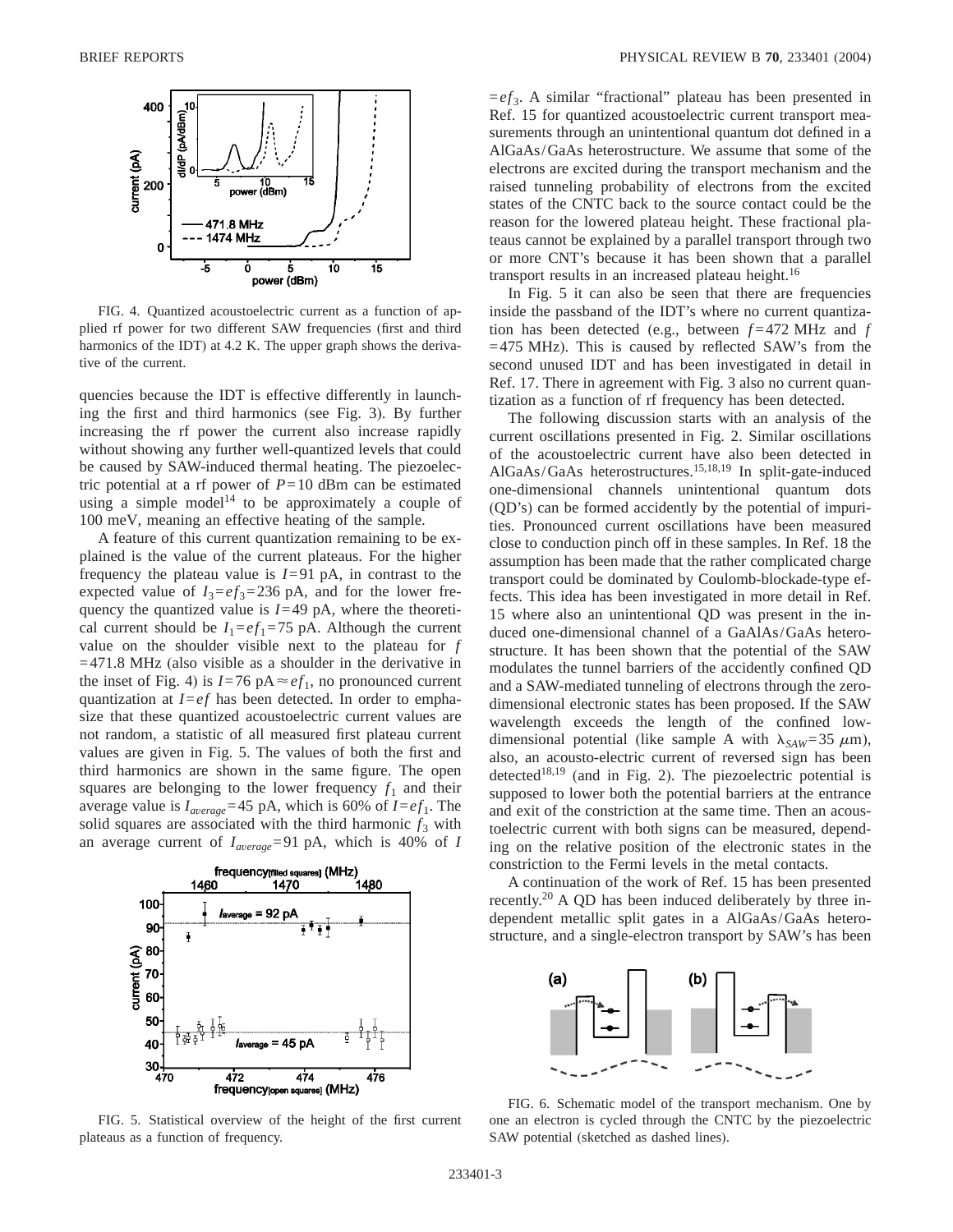

FIG. 4. Quantized acoustoelectric current as a function of applied rf power for two different SAW frequencies (first and third harmonics of the IDT) at 4.2 K. The upper graph shows the derivative of the current.

quencies because the IDT is effective differently in launching the first and third harmonics (see Fig. 3). By further increasing the rf power the current also increase rapidly without showing any further well-quantized levels that could be caused by SAW-induced thermal heating. The piezoelectric potential at a rf power of  $P=10$  dBm can be estimated using a simple model<sup>14</sup> to be approximately a couple of 100 meV, meaning an effective heating of the sample.

A feature of this current quantization remaining to be explained is the value of the current plateaus. For the higher frequency the plateau value is  $I=91$  pA, in contrast to the expected value of  $I_3 = ef_3 = 236 \text{ pA}$ , and for the lower frequency the quantized value is *I*=49 pA, where the theoretical current should be  $I_1 = ef_1 = 75$  pA. Although the current value on the shoulder visible next to the plateau for *f* =471.8 MHz (also visible as a shoulder in the derivative in the inset of Fig. 4) is  $I=76$  pA $\approx ef_1$ , no pronounced current quantization at *I*=*ef* has been detected. In order to emphasize that these quantized acoustoelectric current values are not random, a statistic of all measured first plateau current values are given in Fig. 5. The values of both the first and third harmonics are shown in the same figure. The open squares are belonging to the lower frequency  $f_1$  and their average value is  $I_{\text{average}} = 45 \text{ pA}$ , which is 60% of  $I = ef_1$ . The solid squares are associated with the third harmonic  $f_3$  with an average current of  $I_{average} = 91 \text{ pA}$ , which is 40% of *I* 



FIG. 5. Statistical overview of the height of the first current plateaus as a function of frequency.

=*ef*3. A similar "fractional" plateau has been presented in Ref. 15 for quantized acoustoelectric current transport measurements through an unintentional quantum dot defined in a AlGaAs/GaAs heterostructure. We assume that some of the electrons are excited during the transport mechanism and the raised tunneling probability of electrons from the excited states of the CNTC back to the source contact could be the reason for the lowered plateau height. These fractional plateaus cannot be explained by a parallel transport through two or more CNT's because it has been shown that a parallel transport results in an increased plateau height.<sup>16</sup>

In Fig. 5 it can also be seen that there are frequencies inside the passband of the IDT's where no current quantization has been detected (e.g., between *f* =472 MHz and *f*  $=475$  MHz). This is caused by reflected SAW's from the second unused IDT and has been investigated in detail in Ref. 17. There in agreement with Fig. 3 also no current quantization as a function of rf frequency has been detected.

The following discussion starts with an analysis of the current oscillations presented in Fig. 2. Similar oscillations of the acoustoelectric current have also been detected in AlGaAs/GaAs heterostructures.15,18,19 In split-gate-induced one-dimensional channels unintentional quantum dots (QD's) can be formed accidently by the potential of impurities. Pronounced current oscillations have been measured close to conduction pinch off in these samples. In Ref. 18 the assumption has been made that the rather complicated charge transport could be dominated by Coulomb-blockade-type effects. This idea has been investigated in more detail in Ref. 15 where also an unintentional QD was present in the induced one-dimensional channel of a GaAlAs/GaAs heterostructure. It has been shown that the potential of the SAW modulates the tunnel barriers of the accidently confined QD and a SAW-mediated tunneling of electrons through the zerodimensional electronic states has been proposed. If the SAW wavelength exceeds the length of the confined lowdimensional potential (like sample A with  $\lambda_{SAW} = 35 \mu m$ ), also, an acousto-electric current of reversed sign has been detected<sup>18,19</sup> (and in Fig. 2). The piezoelectric potential is supposed to lower both the potential barriers at the entrance and exit of the constriction at the same time. Then an acoustoelectric current with both signs can be measured, depending on the relative position of the electronic states in the constriction to the Fermi levels in the metal contacts.

A continuation of the work of Ref. 15 has been presented recently.20 A QD has been induced deliberately by three independent metallic split gates in a AlGaAs/GaAs heterostructure, and a single-electron transport by SAW's has been



FIG. 6. Schematic model of the transport mechanism. One by one an electron is cycled through the CNTC by the piezoelectric SAW potential (sketched as dashed lines).